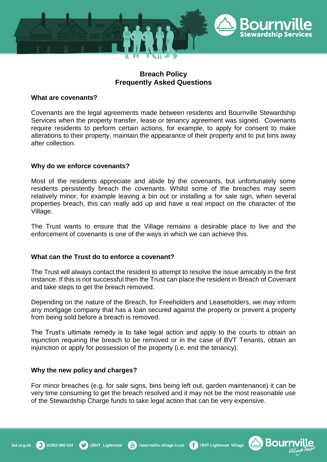

# **Breach Policy Frequently Asked Questions**

### **What are covenants?**

Covenants are the legal agreements made between residents and Bournville Stewardship Services when the property transfer, lease or tenancy agreement was signed. Covenants require residents to perform certain actions, for example, to apply for consent to make alterations to their property, maintain the appearance of their property and to put bins away after collection.

# **Why do we enforce covenants?**

Most of the residents appreciate and abide by the covenants, but unfortunately some residents persistently breach the covenants. Whilst some of the breaches may seem relatively minor, for example leaving a bin out or installing a for sale sign, when several properties breach, this can really add up and have a real impact on the character of the Village.

The Trust wants to ensure that the Village remains a desirable place to live and the enforcement of covenants is one of the ways in which we can achieve this.

# **What can the Trust do to enforce a covenant?**

The Trust will always contact the resident to attempt to resolve the issue amicably in the first instance. If this is not successful then the Trust can place the resident in Breach of Covenant and take steps to get the breach removed.

Depending on the nature of the Breach, for Freeholders and Leaseholders, we may inform any mortgage company that has a loan secured against the property or prevent a property from being sold before a breach is removed.

The Trust's ultimate remedy is to take legal action and apply to the courts to obtain an injunction requiring the breach to be removed or in the case of BVT Tenants, obtain an injunction or apply for possession of the property (i.e. end the tenancy).

#### **Why the new policy and charges?**

For minor breaches (e.g. for sale signs, bins being left out, garden maintenance) it can be very time consuming to get the breach resolved and it may not be the most reasonable use of the Stewardship Charge funds to take legal action that can be very expensive.